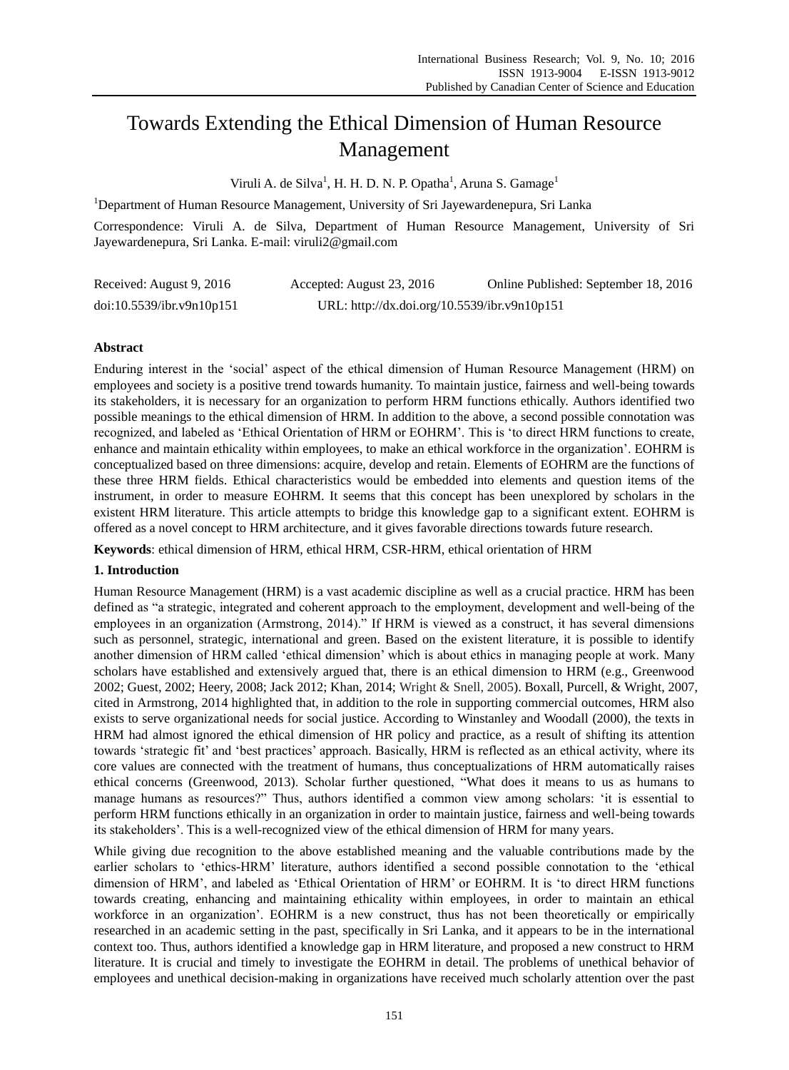# Towards Extending the Ethical Dimension of Human Resource Management

Viruli A. de Silva<sup>1</sup>, H. H. D. N. P. Opatha<sup>1</sup>, Aruna S. Gamage<sup>1</sup>

<sup>1</sup>Department of Human Resource Management, University of Sri Jayewardenepura, Sri Lanka

Correspondence: Viruli A. de Silva, Department of Human Resource Management, University of Sri Jayewardenepura, Sri Lanka. E-mail: viruli2@gmail.com

| Received: August 9, 2016  | Accepted: August 23, 2016                    | Online Published: September 18, 2016 |
|---------------------------|----------------------------------------------|--------------------------------------|
| doi:10.5539/ibr.v9n10p151 | URL: http://dx.doi.org/10.5539/ibr.v9n10p151 |                                      |

# **Abstract**

Enduring interest in the "social" aspect of the ethical dimension of Human Resource Management (HRM) on employees and society is a positive trend towards humanity. To maintain justice, fairness and well-being towards its stakeholders, it is necessary for an organization to perform HRM functions ethically. Authors identified two possible meanings to the ethical dimension of HRM. In addition to the above, a second possible connotation was recognized, and labeled as "Ethical Orientation of HRM or EOHRM". This is "to direct HRM functions to create, enhance and maintain ethicality within employees, to make an ethical workforce in the organization". EOHRM is conceptualized based on three dimensions: acquire, develop and retain. Elements of EOHRM are the functions of these three HRM fields. Ethical characteristics would be embedded into elements and question items of the instrument, in order to measure EOHRM. It seems that this concept has been unexplored by scholars in the existent HRM literature. This article attempts to bridge this knowledge gap to a significant extent. EOHRM is offered as a novel concept to HRM architecture, and it gives favorable directions towards future research.

**Keywords**: ethical dimension of HRM, ethical HRM, CSR-HRM, ethical orientation of HRM

# **1. Introduction**

Human Resource Management (HRM) is a vast academic discipline as well as a crucial practice. HRM has been defined as "a strategic, integrated and coherent approach to the employment, development and well-being of the employees in an organization (Armstrong, 2014)." If HRM is viewed as a construct, it has several dimensions such as personnel, strategic, international and green. Based on the existent literature, it is possible to identify another dimension of HRM called "ethical dimension" which is about ethics in managing people at work. Many scholars have established and extensively argued that, there is an ethical dimension to HRM (e.g., Greenwood 2002; Guest, 2002; Heery, 2008; Jack 2012; Khan, 2014; Wright & Snell, 2005). Boxall, Purcell, & Wright, 2007, cited in Armstrong, 2014 highlighted that, in addition to the role in supporting commercial outcomes, HRM also exists to serve organizational needs for social justice. According to Winstanley and Woodall (2000), the texts in HRM had almost ignored the ethical dimension of HR policy and practice, as a result of shifting its attention towards "strategic fit" and "best practices" approach. Basically, HRM is reflected as an ethical activity, where its core values are connected with the treatment of humans, thus conceptualizations of HRM automatically raises ethical concerns (Greenwood, 2013). Scholar further questioned, "What does it means to us as humans to manage humans as resources?" Thus, authors identified a common view among scholars: "it is essential to perform HRM functions ethically in an organization in order to maintain justice, fairness and well-being towards its stakeholders". This is a well-recognized view of the ethical dimension of HRM for many years.

While giving due recognition to the above established meaning and the valuable contributions made by the earlier scholars to "ethics-HRM" literature, authors identified a second possible connotation to the "ethical dimension of HRM", and labeled as "Ethical Orientation of HRM" or EOHRM. It is "to direct HRM functions towards creating, enhancing and maintaining ethicality within employees, in order to maintain an ethical workforce in an organization'. EOHRM is a new construct, thus has not been theoretically or empirically researched in an academic setting in the past, specifically in Sri Lanka, and it appears to be in the international context too. Thus, authors identified a knowledge gap in HRM literature, and proposed a new construct to HRM literature. It is crucial and timely to investigate the EOHRM in detail. The problems of unethical behavior of employees and unethical decision-making in organizations have received much scholarly attention over the past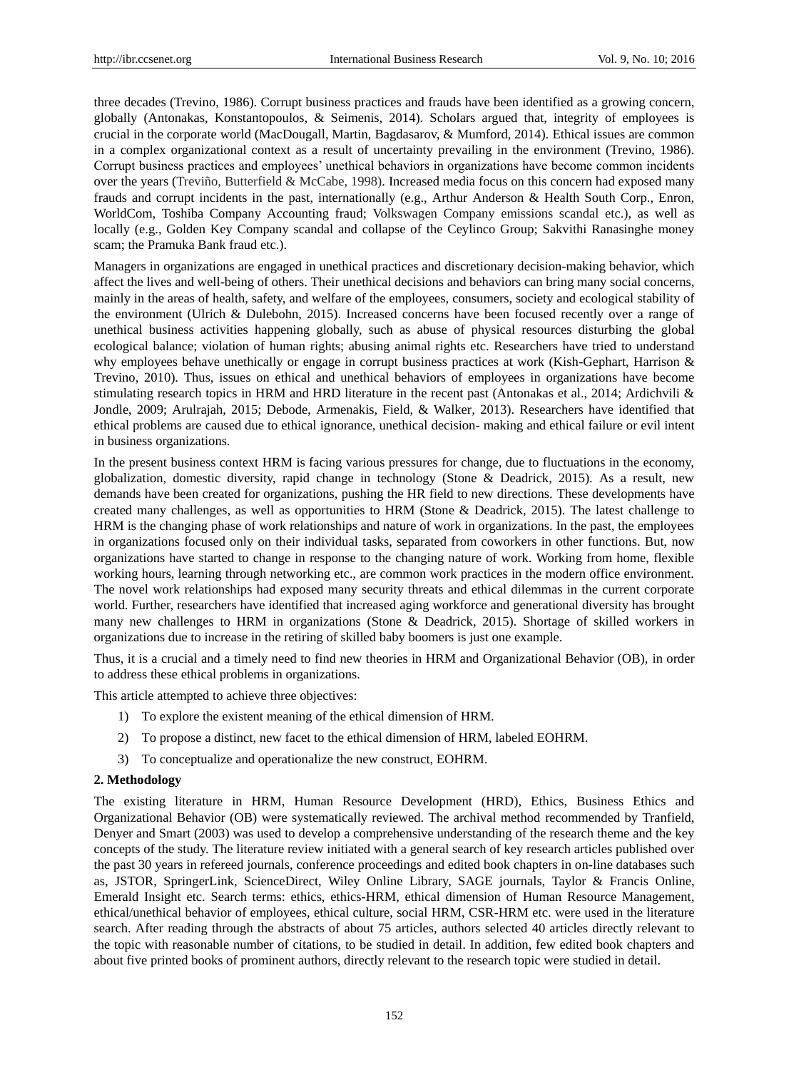three decades (Trevino, 1986). Corrupt business practices and frauds have been identified as a growing concern, globally (Antonakas, Konstantopoulos, & Seimenis, 2014). Scholars argued that, integrity of employees is crucial in the corporate world (MacDougall, Martin, Bagdasarov, & Mumford, 2014). Ethical issues are common in a complex organizational context as a result of uncertainty prevailing in the environment (Trevino, 1986). Corrupt business practices and employees" unethical behaviors in organizations have become common incidents over the years (Treviño, Butterfield & McCabe, 1998). Increased media focus on this concern had exposed many frauds and corrupt incidents in the past, internationally (e.g., Arthur Anderson & Health South Corp., Enron, WorldCom, Toshiba Company Accounting fraud; Volkswagen Company emissions scandal etc.), as well as locally (e.g., Golden Key Company scandal and collapse of the Ceylinco Group; Sakvithi Ranasinghe money scam; the Pramuka Bank fraud etc.).

Managers in organizations are engaged in unethical practices and discretionary decision-making behavior, which affect the lives and well-being of others. Their unethical decisions and behaviors can bring many social concerns, mainly in the areas of health, safety, and welfare of the employees, consumers, society and ecological stability of the environment (Ulrich & Dulebohn, 2015). Increased concerns have been focused recently over a range of unethical business activities happening globally, such as abuse of physical resources disturbing the global ecological balance; violation of human rights; abusing animal rights etc. Researchers have tried to understand why employees behave unethically or engage in corrupt business practices at work (Kish-Gephart, Harrison & Trevino, 2010). Thus, issues on ethical and unethical behaviors of employees in organizations have become stimulating research topics in HRM and HRD literature in the recent past (Antonakas et al., 2014; Ardichvili & Jondle, 2009; Arulrajah, 2015; Debode, Armenakis, Field, & Walker*,* 2013). Researchers have identified that ethical problems are caused due to ethical ignorance, unethical decision- making and ethical failure or evil intent in business organizations.

In the present business context HRM is facing various pressures for change, due to fluctuations in the economy, globalization, domestic diversity, rapid change in technology (Stone & Deadrick, 2015). As a result, new demands have been created for organizations, pushing the HR field to new directions. These developments have created many challenges, as well as opportunities to HRM (Stone & Deadrick, 2015). The latest challenge to HRM is the changing phase of work relationships and nature of work in organizations. In the past, the employees in organizations focused only on their individual tasks, separated from coworkers in other functions. But, now organizations have started to change in response to the changing nature of work. Working from home, flexible working hours, learning through networking etc., are common work practices in the modern office environment. The novel work relationships had exposed many security threats and ethical dilemmas in the current corporate world. Further, researchers have identified that increased aging workforce and generational diversity has brought many new challenges to HRM in organizations (Stone & Deadrick, 2015). Shortage of skilled workers in organizations due to increase in the retiring of skilled baby boomers is just one example.

Thus, it is a crucial and a timely need to find new theories in HRM and Organizational Behavior (OB), in order to address these ethical problems in organizations.

This article attempted to achieve three objectives:

- 1) To explore the existent meaning of the ethical dimension of HRM.
- 2) To propose a distinct, new facet to the ethical dimension of HRM, labeled EOHRM.
- 3) To conceptualize and operationalize the new construct, EOHRM.

#### **2. Methodology**

The existing literature in HRM, Human Resource Development (HRD), Ethics, Business Ethics and Organizational Behavior (OB) were systematically reviewed. The archival method recommended by Tranfield, Denyer and Smart (2003) was used to develop a comprehensive understanding of the research theme and the key concepts of the study. The literature review initiated with a general search of key research articles published over the past 30 years in refereed journals, conference proceedings and edited book chapters in on-line databases such as, JSTOR, SpringerLink, ScienceDirect, Wiley Online Library, SAGE journals, Taylor & Francis Online, Emerald Insight etc. Search terms: ethics, ethics-HRM, ethical dimension of Human Resource Management, ethical/unethical behavior of employees, ethical culture, social HRM, CSR-HRM etc. were used in the literature search. After reading through the abstracts of about 75 articles, authors selected 40 articles directly relevant to the topic with reasonable number of citations, to be studied in detail. In addition, few edited book chapters and about five printed books of prominent authors, directly relevant to the research topic were studied in detail.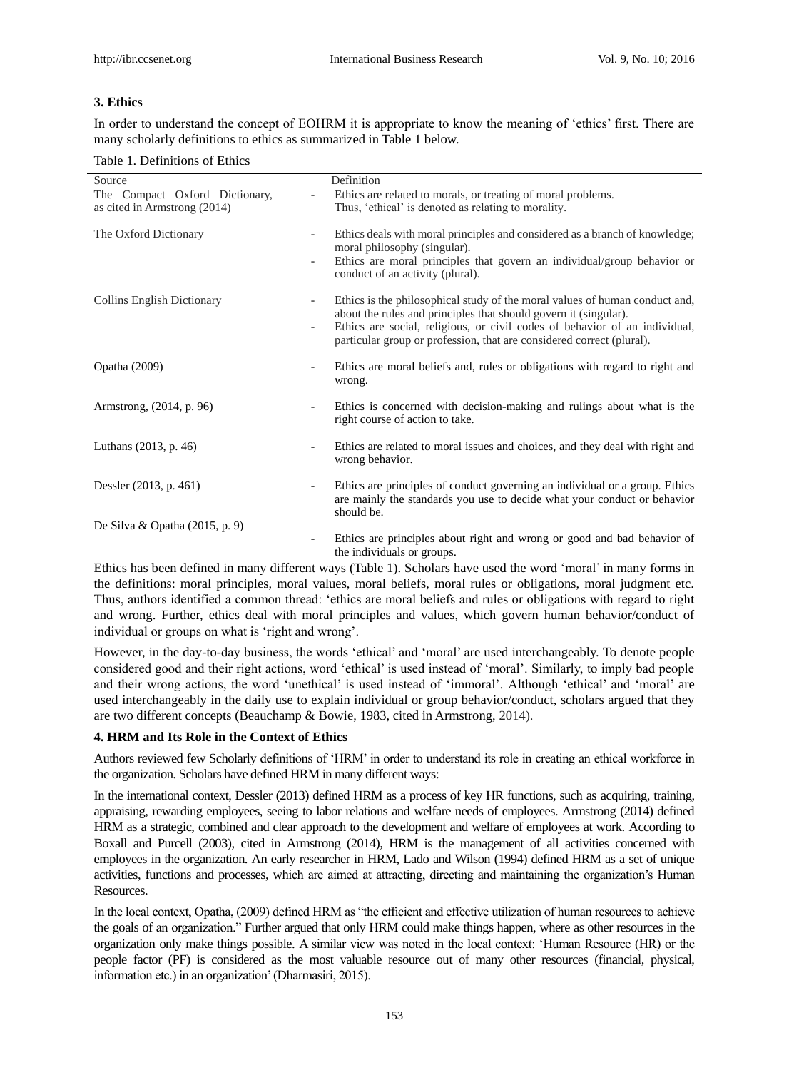# **3. Ethics**

In order to understand the concept of EOHRM it is appropriate to know the meaning of 'ethics' first. There are many scholarly definitions to ethics as summarized in Table 1 below.

| Source                            |                                                      | Definition                                                                                                                                                                                                                                                                                             |
|-----------------------------------|------------------------------------------------------|--------------------------------------------------------------------------------------------------------------------------------------------------------------------------------------------------------------------------------------------------------------------------------------------------------|
| The Compact Oxford Dictionary,    |                                                      | Ethics are related to morals, or treating of moral problems.                                                                                                                                                                                                                                           |
| as cited in Armstrong (2014)      |                                                      | Thus, 'ethical' is denoted as relating to morality.                                                                                                                                                                                                                                                    |
| The Oxford Dictionary             | $\overline{\phantom{0}}$<br>$\overline{\phantom{0}}$ | Ethics deals with moral principles and considered as a branch of knowledge;<br>moral philosophy (singular).<br>Ethics are moral principles that govern an individual/group behavior or<br>conduct of an activity (plural).                                                                             |
| <b>Collins English Dictionary</b> | $\overline{\phantom{0}}$<br>$\overline{\phantom{0}}$ | Ethics is the philosophical study of the moral values of human conduct and,<br>about the rules and principles that should govern it (singular).<br>Ethics are social, religious, or civil codes of behavior of an individual,<br>particular group or profession, that are considered correct (plural). |
| Opatha (2009)                     | $\overline{\phantom{0}}$                             | Ethics are moral beliefs and, rules or obligations with regard to right and<br>wrong.                                                                                                                                                                                                                  |
| Armstrong, (2014, p. 96)          | $\overline{\phantom{0}}$                             | Ethics is concerned with decision-making and rulings about what is the<br>right course of action to take.                                                                                                                                                                                              |
| Luthans (2013, p. 46)             | $\overline{\phantom{0}}$                             | Ethics are related to moral issues and choices, and they deal with right and<br>wrong behavior.                                                                                                                                                                                                        |
| Dessler (2013, p. 461)            | $\overline{\phantom{0}}$                             | Ethics are principles of conduct governing an individual or a group. Ethics<br>are mainly the standards you use to decide what your conduct or behavior<br>should be.                                                                                                                                  |
| De Silva & Opatha (2015, p. 9)    |                                                      | Ethics are principles about right and wrong or good and bad behavior of<br>the individuals or groups.                                                                                                                                                                                                  |

Ethics has been defined in many different ways (Table 1). Scholars have used the word "moral" in many forms in the definitions: moral principles, moral values, moral beliefs, moral rules or obligations, moral judgment etc. Thus, authors identified a common thread: "ethics are moral beliefs and rules or obligations with regard to right and wrong. Further, ethics deal with moral principles and values, which govern human behavior/conduct of individual or groups on what is "right and wrong".

However, in the day-to-day business, the words "ethical" and "moral" are used interchangeably. To denote people considered good and their right actions, word "ethical" is used instead of "moral". Similarly, to imply bad people and their wrong actions, the word "unethical" is used instead of "immoral". Although "ethical" and "moral" are used interchangeably in the daily use to explain individual or group behavior/conduct, scholars argued that they are two different concepts (Beauchamp & Bowie, 1983, cited in Armstrong, 2014).

# **4. HRM and Its Role in the Context of Ethics**

Authors reviewed few Scholarly definitions of "HRM" in order to understand its role in creating an ethical workforce in the organization. Scholars have defined HRM in many different ways:

In the international context, Dessler (2013) defined HRM as a process of key HR functions, such as acquiring, training, appraising, rewarding employees, seeing to labor relations and welfare needs of employees. Armstrong (2014) defined HRM as a strategic, combined and clear approach to the development and welfare of employees at work. According to Boxall and Purcell (2003), cited in Armstrong (2014), HRM is the management of all activities concerned with employees in the organization. An early researcher in HRM, Lado and Wilson (1994) defined HRM as a set of unique activities, functions and processes, which are aimed at attracting, directing and maintaining the organization"s Human Resources.

In the local context, Opatha, (2009) defined HRM as "the efficient and effective utilization of human resources to achieve the goals of an organization." Further argued that only HRM could make things happen, where as other resources in the organization only make things possible. A similar view was noted in the local context: "Human Resource (HR) or the people factor (PF) is considered as the most valuable resource out of many other resources (financial, physical, information etc.) in an organization" (Dharmasiri, 2015).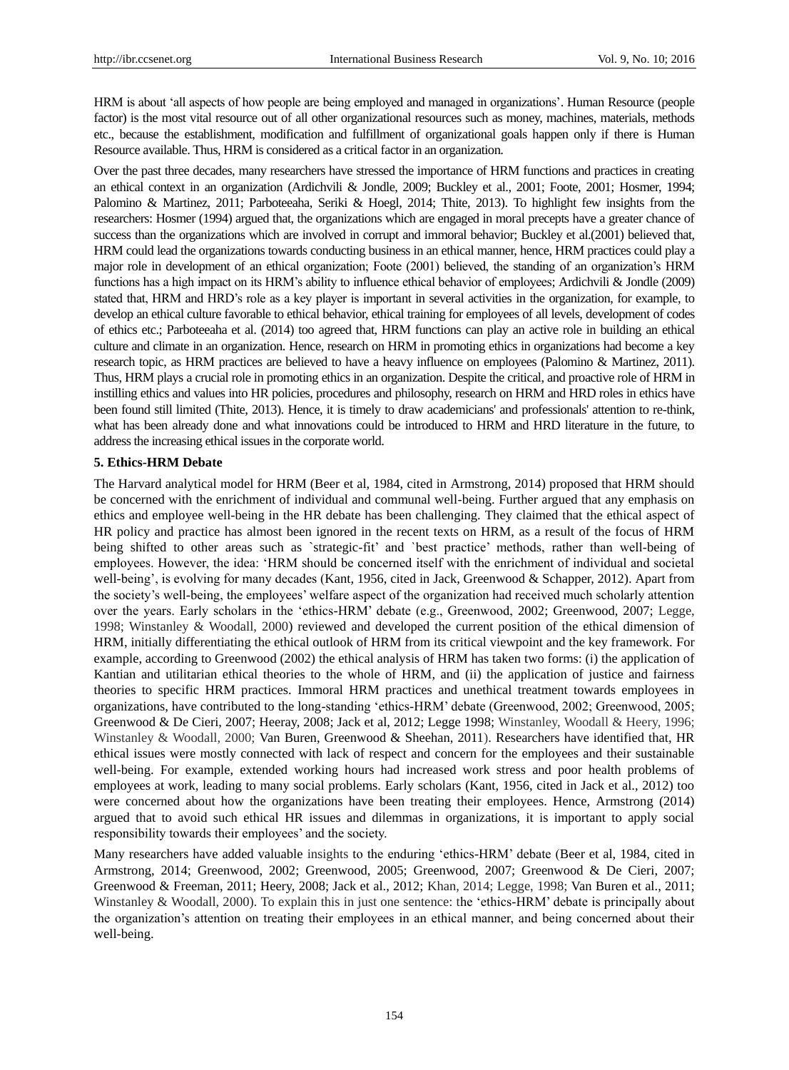HRM is about "all aspects of how people are being employed and managed in organizations". Human Resource (people factor) is the most vital resource out of all other organizational resources such as money, machines, materials, methods etc., because the establishment, modification and fulfillment of organizational goals happen only if there is Human Resource available. Thus, HRM is considered as a critical factor in an organization.

Over the past three decades, many researchers have stressed the importance of HRM functions and practices in creating an ethical context in an organization (Ardichvili & Jondle, 2009; Buckley et al., 2001; Foote, 2001; Hosmer, 1994; Palomino & Martinez, 2011; Parboteeaha, Seriki & Hoegl, 2014; Thite, 2013). To highlight few insights from the researchers: Hosmer (1994) argued that, the organizations which are engaged in moral precepts have a greater chance of success than the organizations which are involved in corrupt and immoral behavior; Buckley et al.(2001) believed that, HRM could lead the organizations towards conducting business in an ethical manner, hence, HRM practices could play a major role in development of an ethical organization; Foote (2001) believed, the standing of an organization"s HRM functions has a high impact on its HRM"s ability to influence ethical behavior of employees; Ardichvili & Jondle (2009) stated that, HRM and HRD"s role as a key player is important in several activities in the organization, for example, to develop an ethical culture favorable to ethical behavior, ethical training for employees of all levels, development of codes of ethics etc.; Parboteeaha et al. (2014) too agreed that, HRM functions can play an active role in building an ethical culture and climate in an organization. Hence, research on HRM in promoting ethics in organizations had become a key research topic, as HRM practices are believed to have a heavy influence on employees (Palomino & Martinez, 2011). Thus, HRM plays a crucial role in promoting ethics in an organization. Despite the critical, and proactive role of HRM in instilling ethics and values into HR policies, procedures and philosophy, research on HRM and HRD roles in ethics have been found still limited (Thite, 2013). Hence, it is timely to draw academicians' and professionals' attention to re-think, what has been already done and what innovations could be introduced to HRM and HRD literature in the future, to address the increasing ethical issues in the corporate world.

## **5. Ethics-HRM Debate**

The Harvard analytical model for HRM (Beer et al, 1984, cited in Armstrong, 2014) proposed that HRM should be concerned with the enrichment of individual and communal well-being. Further argued that any emphasis on ethics and employee well-being in the HR debate has been challenging. They claimed that the ethical aspect of HR policy and practice has almost been ignored in the recent texts on HRM, as a result of the focus of HRM being shifted to other areas such as `strategic-fit' and `best practice' methods, rather than well-being of employees. However, the idea: "HRM should be concerned itself with the enrichment of individual and societal well-being', is evolving for many decades (Kant, 1956, cited in Jack, Greenwood & Schapper, 2012). Apart from the society"s well-being, the employees" welfare aspect of the organization had received much scholarly attention over the years. Early scholars in the "ethics-HRM" debate (e.g., Greenwood, 2002; Greenwood, 2007; Legge, 1998; Winstanley & Woodall, 2000) reviewed and developed the current position of the ethical dimension of HRM, initially differentiating the ethical outlook of HRM from its critical viewpoint and the key framework. For example, according to Greenwood (2002) the ethical analysis of HRM has taken two forms: (i) the application of Kantian and utilitarian ethical theories to the whole of HRM, and (ii) the application of justice and fairness theories to specific HRM practices. Immoral HRM practices and unethical treatment towards employees in organizations, have contributed to the long-standing "ethics-HRM" debate (Greenwood, 2002; Greenwood, 2005; Greenwood & De Cieri, 2007; Heeray, 2008; Jack et al, 2012; Legge 1998; Winstanley, Woodall & Heery, 1996; Winstanley & Woodall, 2000; Van Buren, Greenwood & Sheehan, 2011). Researchers have identified that, HR ethical issues were mostly connected with lack of respect and concern for the employees and their sustainable well-being. For example, extended working hours had increased work stress and poor health problems of employees at work, leading to many social problems. Early scholars (Kant, 1956, cited in Jack et al., 2012) too were concerned about how the organizations have been treating their employees. Hence, Armstrong (2014) argued that to avoid such ethical HR issues and dilemmas in organizations, it is important to apply social responsibility towards their employees' and the society.

Many researchers have added valuable insights to the enduring "ethics-HRM" debate (Beer et al, 1984, cited in Armstrong, 2014; Greenwood, 2002; Greenwood, 2005; Greenwood, 2007; Greenwood & De Cieri, 2007; Greenwood & Freeman, 2011; Heery, 2008; Jack et al., 2012; Khan, 2014; Legge, 1998; Van Buren et al., 2011; Winstanley & Woodall, 2000). To explain this in just one sentence: the 'ethics-HRM' debate is principally about the organization"s attention on treating their employees in an ethical manner, and being concerned about their well-being.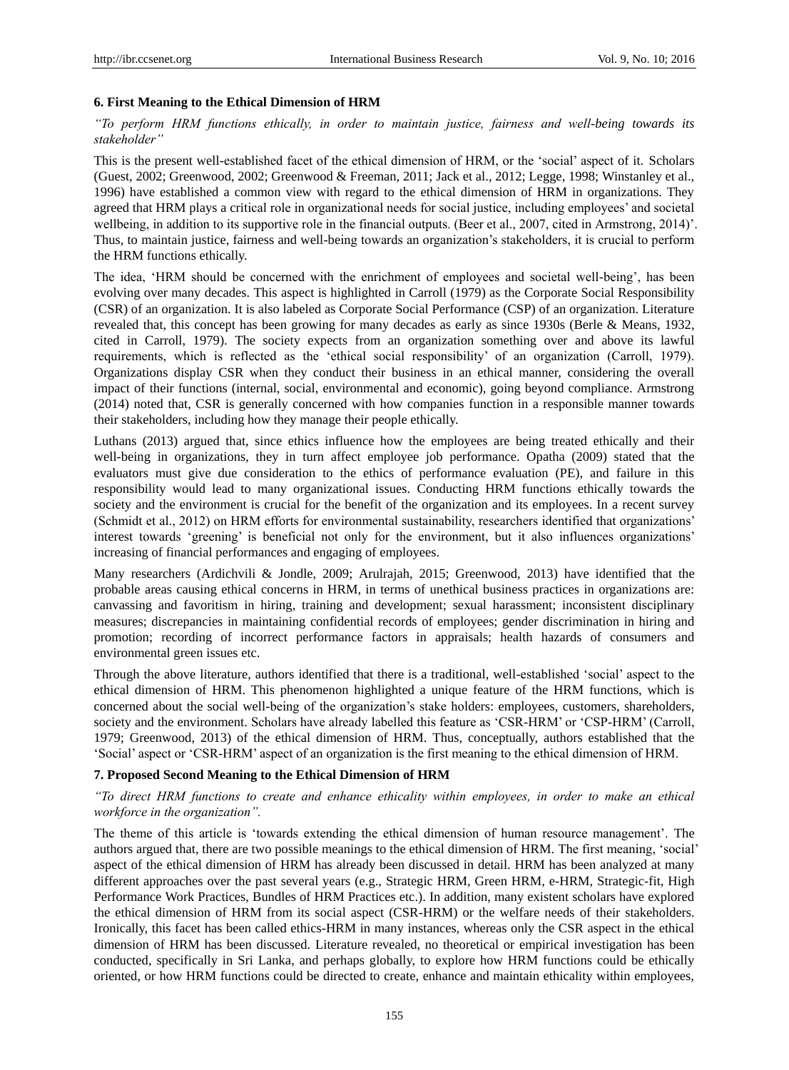## **6. First Meaning to the Ethical Dimension of HRM**

# *"To perform HRM functions ethically, in order to maintain justice, fairness and well-being towards its stakeholder"*

This is the present well-established facet of the ethical dimension of HRM, or the "social" aspect of it. Scholars (Guest, 2002; Greenwood, 2002; Greenwood & Freeman, 2011; Jack et al., 2012; Legge, 1998; Winstanley et al., 1996) have established a common view with regard to the ethical dimension of HRM in organizations. They agreed that HRM plays a critical role in organizational needs for social justice, including employees" and societal wellbeing, in addition to its supportive role in the financial outputs. (Beer et al., 2007, cited in Armstrong, 2014)'. Thus, to maintain justice, fairness and well-being towards an organization"s stakeholders, it is crucial to perform the HRM functions ethically.

The idea, "HRM should be concerned with the enrichment of employees and societal well-being", has been evolving over many decades. This aspect is highlighted in Carroll (1979) as the Corporate Social Responsibility (CSR) of an organization. It is also labeled as Corporate Social Performance (CSP) of an organization. Literature revealed that, this concept has been growing for many decades as early as since 1930s (Berle & Means, 1932, cited in Carroll, 1979). The society expects from an organization something over and above its lawful requirements, which is reflected as the "ethical social responsibility" of an organization (Carroll, 1979). Organizations display CSR when they conduct their business in an ethical manner, considering the overall impact of their functions (internal, social, environmental and economic), going beyond compliance. Armstrong (2014) noted that, CSR is generally concerned with how companies function in a responsible manner towards their stakeholders, including how they manage their people ethically.

Luthans (2013) argued that, since ethics influence how the employees are being treated ethically and their well-being in organizations, they in turn affect employee job performance. Opatha (2009) stated that the evaluators must give due consideration to the ethics of performance evaluation (PE), and failure in this responsibility would lead to many organizational issues. Conducting HRM functions ethically towards the society and the environment is crucial for the benefit of the organization and its employees. In a recent survey (Schmidt et al., 2012) on HRM efforts for environmental sustainability, researchers identified that organizations" interest towards "greening" is beneficial not only for the environment, but it also influences organizations" increasing of financial performances and engaging of employees.

Many researchers (Ardichvili & Jondle, 2009; Arulrajah, 2015; Greenwood, 2013) have identified that the probable areas causing ethical concerns in HRM, in terms of unethical business practices in organizations are: canvassing and favoritism in hiring, training and development; sexual harassment; inconsistent disciplinary measures; discrepancies in maintaining confidential records of employees; gender discrimination in hiring and promotion; recording of incorrect performance factors in appraisals; health hazards of consumers and environmental green issues etc.

Through the above literature, authors identified that there is a traditional, well-established "social" aspect to the ethical dimension of HRM. This phenomenon highlighted a unique feature of the HRM functions, which is concerned about the social well-being of the organization"s stake holders: employees, customers, shareholders, society and the environment. Scholars have already labelled this feature as 'CSR-HRM' or 'CSP-HRM' (Carroll, 1979; Greenwood, 2013) of the ethical dimension of HRM. Thus, conceptually, authors established that the "Social" aspect or "CSR-HRM" aspect of an organization is the first meaning to the ethical dimension of HRM.

## **7. Proposed Second Meaning to the Ethical Dimension of HRM**

# *"To direct HRM functions to create and enhance ethicality within employees, in order to make an ethical workforce in the organization".*

The theme of this article is 'towards extending the ethical dimension of human resource management'. The authors argued that, there are two possible meanings to the ethical dimension of HRM. The first meaning, "social" aspect of the ethical dimension of HRM has already been discussed in detail. HRM has been analyzed at many different approaches over the past several years (e.g., Strategic HRM, Green HRM, e-HRM, Strategic-fit, High Performance Work Practices, Bundles of HRM Practices etc.). In addition, many existent scholars have explored the ethical dimension of HRM from its social aspect (CSR-HRM) or the welfare needs of their stakeholders. Ironically, this facet has been called ethics-HRM in many instances, whereas only the CSR aspect in the ethical dimension of HRM has been discussed. Literature revealed, no theoretical or empirical investigation has been conducted, specifically in Sri Lanka, and perhaps globally, to explore how HRM functions could be ethically oriented, or how HRM functions could be directed to create, enhance and maintain ethicality within employees,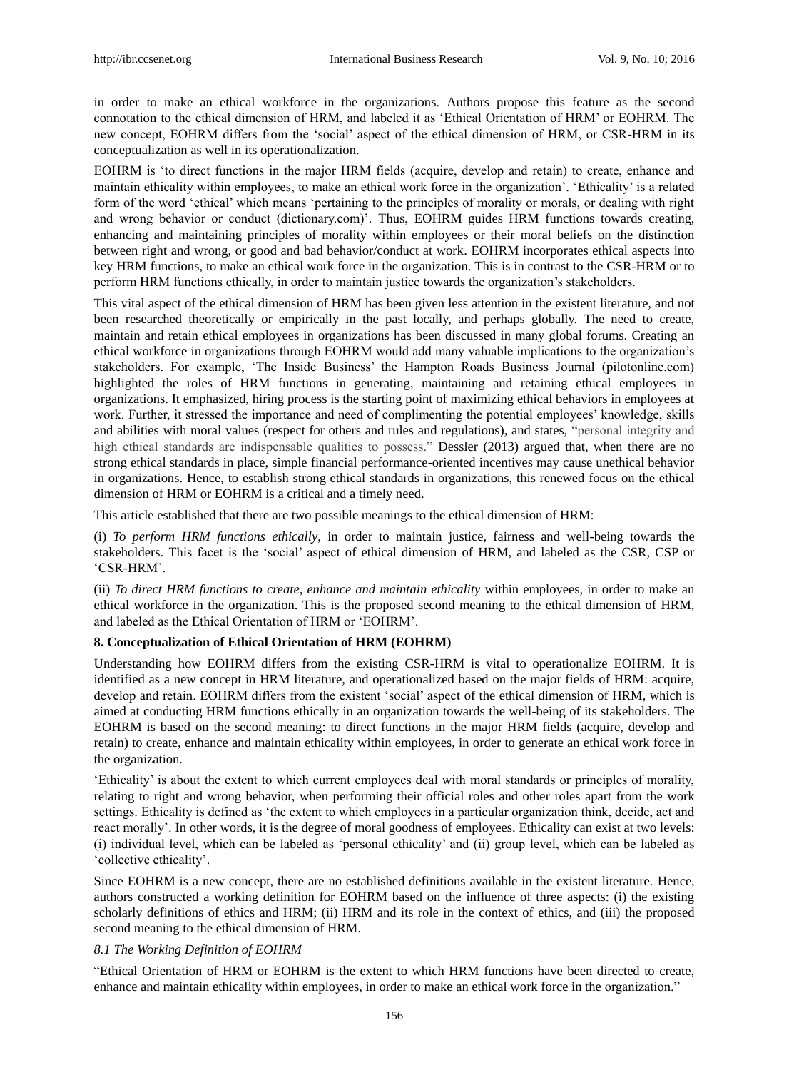in order to make an ethical workforce in the organizations. Authors propose this feature as the second connotation to the ethical dimension of HRM, and labeled it as "Ethical Orientation of HRM" or EOHRM. The new concept, EOHRM differs from the "social" aspect of the ethical dimension of HRM, or CSR-HRM in its conceptualization as well in its operationalization.

EOHRM is "to direct functions in the major HRM fields (acquire, develop and retain) to create, enhance and maintain ethicality within employees, to make an ethical work force in the organization". "Ethicality" is a related form of the word "ethical" which means "pertaining to the principles of morality or morals, or dealing with right and wrong behavior or conduct (dictionary.com)'. Thus, EOHRM guides HRM functions towards creating, enhancing and maintaining principles of morality within employees or their moral beliefs on the distinction between right and wrong, or good and bad behavior/conduct at work. EOHRM incorporates ethical aspects into key HRM functions, to make an ethical work force in the organization. This is in contrast to the CSR-HRM or to perform HRM functions ethically, in order to maintain justice towards the organization"s stakeholders.

This vital aspect of the ethical dimension of HRM has been given less attention in the existent literature, and not been researched theoretically or empirically in the past locally, and perhaps globally. The need to create, maintain and retain ethical employees in organizations has been discussed in many global forums. Creating an ethical workforce in organizations through EOHRM would add many valuable implications to the organization"s stakeholders. For example, "The Inside Business" the Hampton Roads Business Journal (pilotonline.com) highlighted the roles of HRM functions in generating, maintaining and retaining ethical employees in organizations. It emphasized, hiring process is the starting point of maximizing ethical behaviors in employees at work. Further, it stressed the importance and need of complimenting the potential employees' knowledge, skills and abilities with moral values (respect for others and rules and regulations), and states, "personal integrity and high ethical standards are indispensable qualities to possess." Dessler (2013) argued that, when there are no strong ethical standards in place, simple financial performance-oriented incentives may cause unethical behavior in organizations. Hence, to establish strong ethical standards in organizations, this renewed focus on the ethical dimension of HRM or EOHRM is a critical and a timely need.

This article established that there are two possible meanings to the ethical dimension of HRM:

(i) *To perform HRM functions ethically*, in order to maintain justice, fairness and well-being towards the stakeholders. This facet is the "social" aspect of ethical dimension of HRM, and labeled as the CSR, CSP or "CSR-HRM".

(ii) *To direct HRM functions to create, enhance and maintain ethicality* within employees, in order to make an ethical workforce in the organization. This is the proposed second meaning to the ethical dimension of HRM, and labeled as the Ethical Orientation of HRM or "EOHRM".

## **8. Conceptualization of Ethical Orientation of HRM (EOHRM)**

Understanding how EOHRM differs from the existing CSR-HRM is vital to operationalize EOHRM. It is identified as a new concept in HRM literature, and operationalized based on the major fields of HRM: acquire, develop and retain. EOHRM differs from the existent "social" aspect of the ethical dimension of HRM, which is aimed at conducting HRM functions ethically in an organization towards the well-being of its stakeholders. The EOHRM is based on the second meaning: to direct functions in the major HRM fields (acquire, develop and retain) to create, enhance and maintain ethicality within employees, in order to generate an ethical work force in the organization.

"Ethicality" is about the extent to which current employees deal with moral standards or principles of morality, relating to right and wrong behavior, when performing their official roles and other roles apart from the work settings. Ethicality is defined as "the extent to which employees in a particular organization think, decide, act and react morally'. In other words, it is the degree of moral goodness of employees. Ethicality can exist at two levels: (i) individual level, which can be labeled as "personal ethicality" and (ii) group level, which can be labeled as 'collective ethicality'.

Since EOHRM is a new concept, there are no established definitions available in the existent literature. Hence, authors constructed a working definition for EOHRM based on the influence of three aspects: (i) the existing scholarly definitions of ethics and HRM; (ii) HRM and its role in the context of ethics, and (iii) the proposed second meaning to the ethical dimension of HRM.

## *8.1 The Working Definition of EOHRM*

"Ethical Orientation of HRM or EOHRM is the extent to which HRM functions have been directed to create, enhance and maintain ethicality within employees, in order to make an ethical work force in the organization."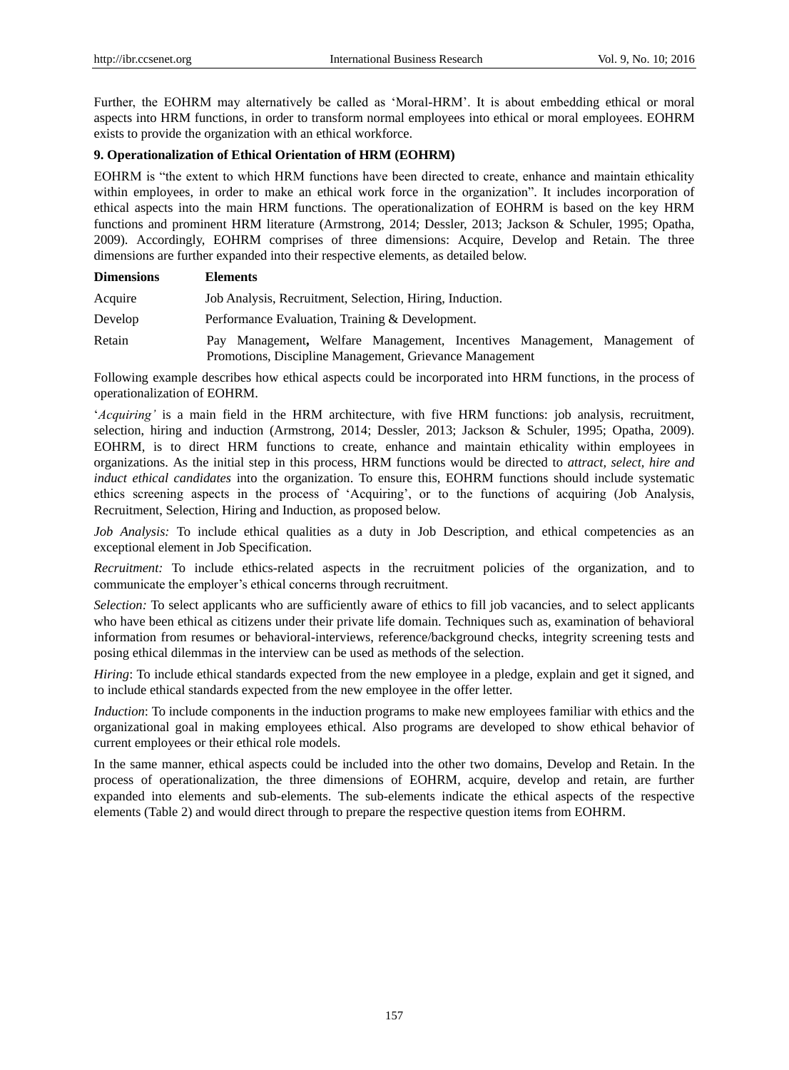Further, the EOHRM may alternatively be called as "Moral-HRM". It is about embedding ethical or moral aspects into HRM functions, in order to transform normal employees into ethical or moral employees. EOHRM exists to provide the organization with an ethical workforce.

# **9. Operationalization of Ethical Orientation of HRM (EOHRM)**

EOHRM is "the extent to which HRM functions have been directed to create, enhance and maintain ethicality within employees, in order to make an ethical work force in the organization". It includes incorporation of ethical aspects into the main HRM functions. The operationalization of EOHRM is based on the key HRM functions and prominent HRM literature (Armstrong, 2014; Dessler, 2013; Jackson & Schuler, 1995; Opatha, 2009). Accordingly, EOHRM comprises of three dimensions: Acquire, Develop and Retain. The three dimensions are further expanded into their respective elements, as detailed below.

| <b>Elements</b> |
|-----------------|
|                 |

| Acquire | Job Analysis, Recruitment, Selection, Hiring, Induction. |  |  |
|---------|----------------------------------------------------------|--|--|
|         |                                                          |  |  |

DevelopPerformance Evaluation, Training & Development.

Retain Pay Management**,** Welfare Management, Incentives Management, Management of Promotions, Discipline Management, Grievance Management

Following example describes how ethical aspects could be incorporated into HRM functions, in the process of operationalization of EOHRM.

'Acquiring' is a main field in the HRM architecture, with five HRM functions: job analysis, recruitment, selection, hiring and induction (Armstrong, 2014; Dessler, 2013; Jackson & Schuler, 1995; Opatha, 2009). EOHRM, is to direct HRM functions to create, enhance and maintain ethicality within employees in organizations. As the initial step in this process, HRM functions would be directed to *attract, select, hire and induct ethical candidates* into the organization. To ensure this, EOHRM functions should include systematic ethics screening aspects in the process of "Acquiring", or to the functions of acquiring (Job Analysis, Recruitment, Selection, Hiring and Induction, as proposed below.

*Job Analysis:* To include ethical qualities as a duty in Job Description, and ethical competencies as an exceptional element in Job Specification.

*Recruitment:* To include ethics-related aspects in the recruitment policies of the organization, and to communicate the employer"s ethical concerns through recruitment.

*Selection:* To select applicants who are sufficiently aware of ethics to fill job vacancies, and to select applicants who have been ethical as citizens under their private life domain. Techniques such as, examination of behavioral information from resumes or behavioral-interviews, reference/background checks, integrity screening tests and posing ethical dilemmas in the interview can be used as methods of the selection.

*Hiring*: To include ethical standards expected from the new employee in a pledge, explain and get it signed, and to include ethical standards expected from the new employee in the offer letter.

*Induction*: To include components in the induction programs to make new employees familiar with ethics and the organizational goal in making employees ethical. Also programs are developed to show ethical behavior of current employees or their ethical role models.

In the same manner, ethical aspects could be included into the other two domains, Develop and Retain. In the process of operationalization, the three dimensions of EOHRM, acquire, develop and retain, are further expanded into elements and sub-elements. The sub-elements indicate the ethical aspects of the respective elements (Table 2) and would direct through to prepare the respective question items from EOHRM.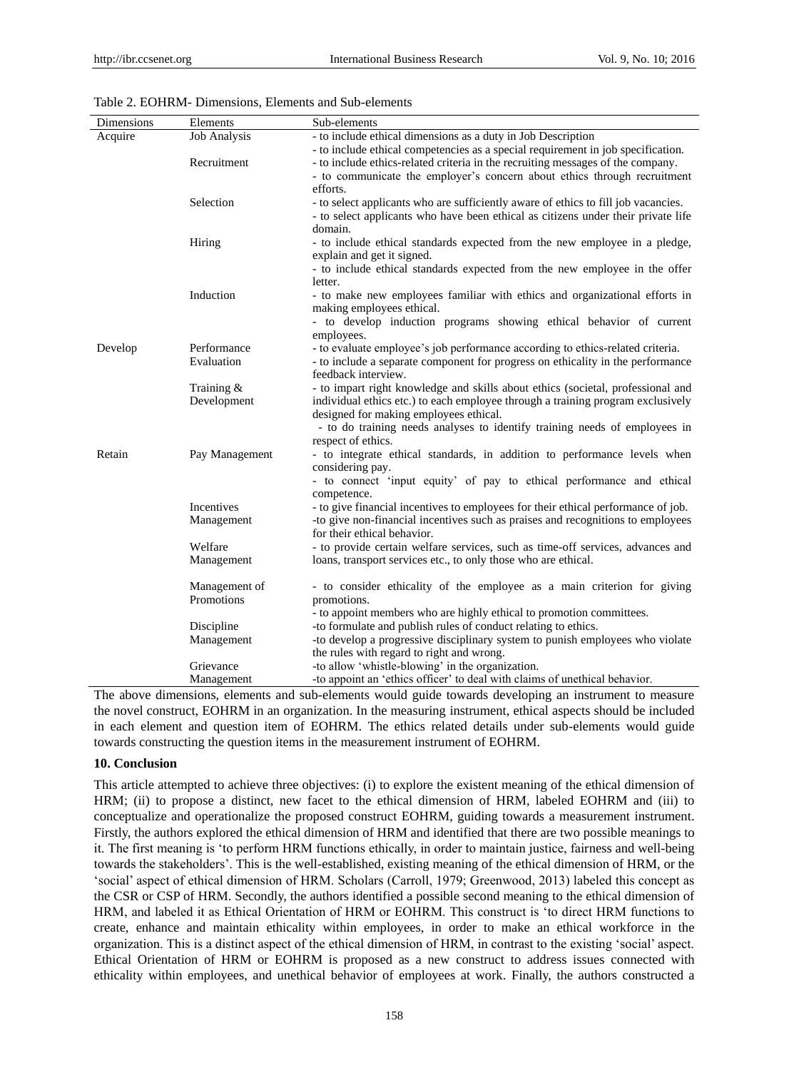| Dimensions | Elements            | Sub-elements                                                                       |
|------------|---------------------|------------------------------------------------------------------------------------|
| Acquire    | <b>Job Analysis</b> | - to include ethical dimensions as a duty in Job Description                       |
|            |                     | - to include ethical competencies as a special requirement in job specification.   |
|            | Recruitment         | - to include ethics-related criteria in the recruiting messages of the company.    |
|            |                     | - to communicate the employer's concern about ethics through recruitment           |
|            |                     | efforts.                                                                           |
|            | Selection           | - to select applicants who are sufficiently aware of ethics to fill job vacancies. |
|            |                     | - to select applicants who have been ethical as citizens under their private life  |
|            |                     | domain.                                                                            |
|            | Hiring              | - to include ethical standards expected from the new employee in a pledge,         |
|            |                     | explain and get it signed.                                                         |
|            |                     | - to include ethical standards expected from the new employee in the offer         |
|            |                     | letter.                                                                            |
|            | Induction           | - to make new employees familiar with ethics and organizational efforts in         |
|            |                     | making employees ethical.                                                          |
|            |                     | - to develop induction programs showing ethical behavior of current                |
|            |                     | employees.                                                                         |
| Develop    | Performance         | - to evaluate employee's job performance according to ethics-related criteria.     |
|            | Evaluation          | - to include a separate component for progress on ethicality in the performance    |
|            |                     | feedback interview.                                                                |
|            | Training &          | - to impart right knowledge and skills about ethics (societal, professional and    |
|            | Development         | individual ethics etc.) to each employee through a training program exclusively    |
|            |                     | designed for making employees ethical.                                             |
|            |                     | - to do training needs analyses to identify training needs of employees in         |
|            |                     | respect of ethics.                                                                 |
| Retain     | Pay Management      | - to integrate ethical standards, in addition to performance levels when           |
|            |                     | considering pay.                                                                   |
|            |                     | - to connect 'input equity' of pay to ethical performance and ethical              |
|            |                     | competence.                                                                        |
|            | Incentives          | - to give financial incentives to employees for their ethical performance of job.  |
|            | Management          | -to give non-financial incentives such as praises and recognitions to employees    |
|            |                     | for their ethical behavior.                                                        |
|            | Welfare             | - to provide certain welfare services, such as time-off services, advances and     |
|            | Management          | loans, transport services etc., to only those who are ethical.                     |
|            |                     |                                                                                    |
|            | Management of       | - to consider ethicality of the employee as a main criterion for giving            |
|            | Promotions          | promotions.                                                                        |
|            |                     | - to appoint members who are highly ethical to promotion committees.               |
|            | Discipline          | -to formulate and publish rules of conduct relating to ethics.                     |
|            | Management          | -to develop a progressive disciplinary system to punish employees who violate      |
|            |                     | the rules with regard to right and wrong.                                          |
|            | Grievance           | -to allow 'whistle-blowing' in the organization.                                   |
|            | Management          | -to appoint an 'ethics officer' to deal with claims of unethical behavior.         |

## Table 2. EOHRM- Dimensions, Elements and Sub-elements

The above dimensions, elements and sub-elements would guide towards developing an instrument to measure the novel construct, EOHRM in an organization. In the measuring instrument, ethical aspects should be included in each element and question item of EOHRM. The ethics related details under sub-elements would guide towards constructing the question items in the measurement instrument of EOHRM.

#### **10. Conclusion**

This article attempted to achieve three objectives: (i) to explore the existent meaning of the ethical dimension of HRM; (ii) to propose a distinct, new facet to the ethical dimension of HRM, labeled EOHRM and (iii) to conceptualize and operationalize the proposed construct EOHRM, guiding towards a measurement instrument. Firstly, the authors explored the ethical dimension of HRM and identified that there are two possible meanings to it. The first meaning is "to perform HRM functions ethically, in order to maintain justice, fairness and well-being towards the stakeholders". This is the well-established, existing meaning of the ethical dimension of HRM, or the "social" aspect of ethical dimension of HRM. Scholars (Carroll, 1979; Greenwood, 2013) labeled this concept as the CSR or CSP of HRM. Secondly, the authors identified a possible second meaning to the ethical dimension of HRM, and labeled it as Ethical Orientation of HRM or EOHRM. This construct is "to direct HRM functions to create, enhance and maintain ethicality within employees, in order to make an ethical workforce in the organization. This is a distinct aspect of the ethical dimension of HRM, in contrast to the existing "social" aspect. Ethical Orientation of HRM or EOHRM is proposed as a new construct to address issues connected with ethicality within employees, and unethical behavior of employees at work. Finally, the authors constructed a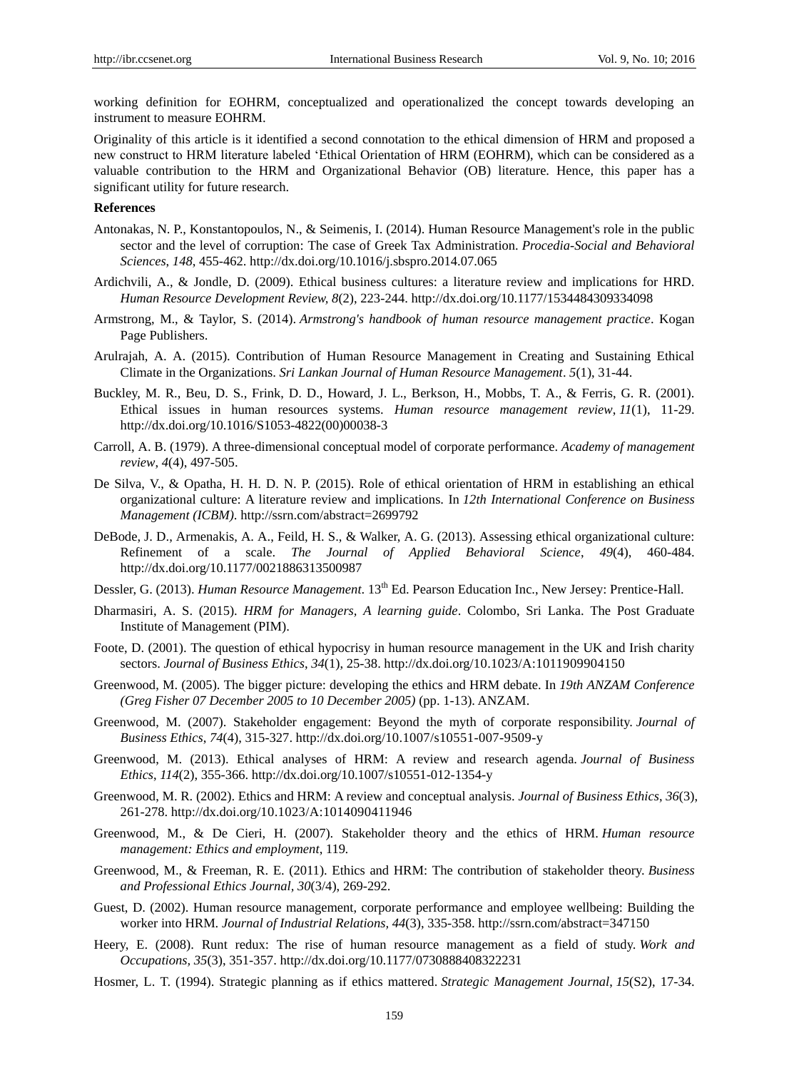working definition for EOHRM, conceptualized and operationalized the concept towards developing an instrument to measure EOHRM.

Originality of this article is it identified a second connotation to the ethical dimension of HRM and proposed a new construct to HRM literature labeled "Ethical Orientation of HRM (EOHRM), which can be considered as a valuable contribution to the HRM and Organizational Behavior (OB) literature. Hence, this paper has a significant utility for future research.

# **References**

- Antonakas, N. P., Konstantopoulos, N., & Seimenis, I. (2014). Human Resource Management's role in the public sector and the level of corruption: The case of Greek Tax Administration. *Procedia-Social and Behavioral Sciences*, *148*, 455-462. http://dx.doi.org/10.1016/j.sbspro.2014.07.065
- Ardichvili, A., & Jondle, D. (2009). Ethical business cultures: a literature review and implications for HRD. *Human Resource Development Review, 8*(2), 223-244. http://dx.doi.org/10.1177/1534484309334098
- Armstrong, M., & Taylor, S. (2014). *Armstrong's handbook of human resource management practice*. Kogan Page Publishers.
- Arulrajah, A. A. (2015). Contribution of Human Resource Management in Creating and Sustaining Ethical Climate in the Organizations. *Sri Lankan Journal of Human Resource Management*. *5*(1), 31-44.
- Buckley, M. R., Beu, D. S., Frink, D. D., Howard, J. L., Berkson, H., Mobbs, T. A., & Ferris, G. R. (2001). Ethical issues in human resources systems. *Human resource management review*, *11*(1), 11-29. http://dx.doi.org/10.1016/S1053-4822(00)00038-3
- Carroll, A. B. (1979). A three-dimensional conceptual model of corporate performance. *Academy of management review*, *4*(4), 497-505.
- De Silva, V., & Opatha, H. H. D. N. P. (2015). Role of ethical orientation of HRM in establishing an ethical organizational culture: A literature review and implications. In *12th International Conference on Business Management (ICBM)*. http://ssrn.com/abstract=2699792
- DeBode, J. D., Armenakis, A. A., Feild, H. S., & Walker, A. G. (2013). Assessing ethical organizational culture: Refinement of a scale. *The Journal of Applied Behavioral Science*, *49*(4), 460-484. <http://dx.doi.org/10.1177/0021886313500987>
- Dessler, G. (2013). *Human Resource Management*. 13<sup>th</sup> Ed. Pearson Education Inc., New Jersey: Prentice-Hall.
- Dharmasiri, A. S. (2015). *HRM for Managers, A learning guide*. Colombo, Sri Lanka. The Post Graduate Institute of Management (PIM).
- Foote, D. (2001). The question of ethical hypocrisy in human resource management in the UK and Irish charity sectors. *Journal of Business Ethics*, *34*(1), 25-38. http://dx.doi.org/10.1023/A:1011909904150
- Greenwood, M. (2005). The bigger picture: developing the ethics and HRM debate. In *19th ANZAM Conference (Greg Fisher 07 December 2005 to 10 December 2005)* (pp. 1-13). ANZAM.
- Greenwood, M. (2007). Stakeholder engagement: Beyond the myth of corporate responsibility. *Journal of Business Ethics*, *74*(4), 315-327. http://dx.doi.org/10.1007/s10551-007-9509-y
- Greenwood, M. (2013). Ethical analyses of HRM: A review and research agenda. *Journal of Business Ethics*, *114*(2), 355-366. http://dx.doi.org/10.1007/s10551-012-1354-y
- Greenwood, M. R. (2002). Ethics and HRM: A review and conceptual analysis. *Journal of Business Ethics*, *36*(3), 261-278. http://dx.doi.org/10.1023/A:1014090411946
- Greenwood, M., & De Cieri, H. (2007). Stakeholder theory and the ethics of HRM. *Human resource management: Ethics and employment*, 119*.*
- Greenwood, M., & Freeman, R. E. (2011). Ethics and HRM: The contribution of stakeholder theory. *Business and Professional Ethics Journal, 30*(3/4), 269-292.
- Guest, D. (2002). Human resource management, corporate performance and employee wellbeing: Building the worker into HRM. *Journal of Industrial Relations, 44*(3), 335-358.<http://ssrn.com/abstract=347150>
- Heery, E. (2008). Runt redux: The rise of human resource management as a field of study. *Work and Occupations, 35*(3), 351-357. http://dx.doi.org/10.1177/0730888408322231
- Hosmer, L. T. (1994). Strategic planning as if ethics mattered. *Strategic Management Journal*, *15*(S2), 17-34.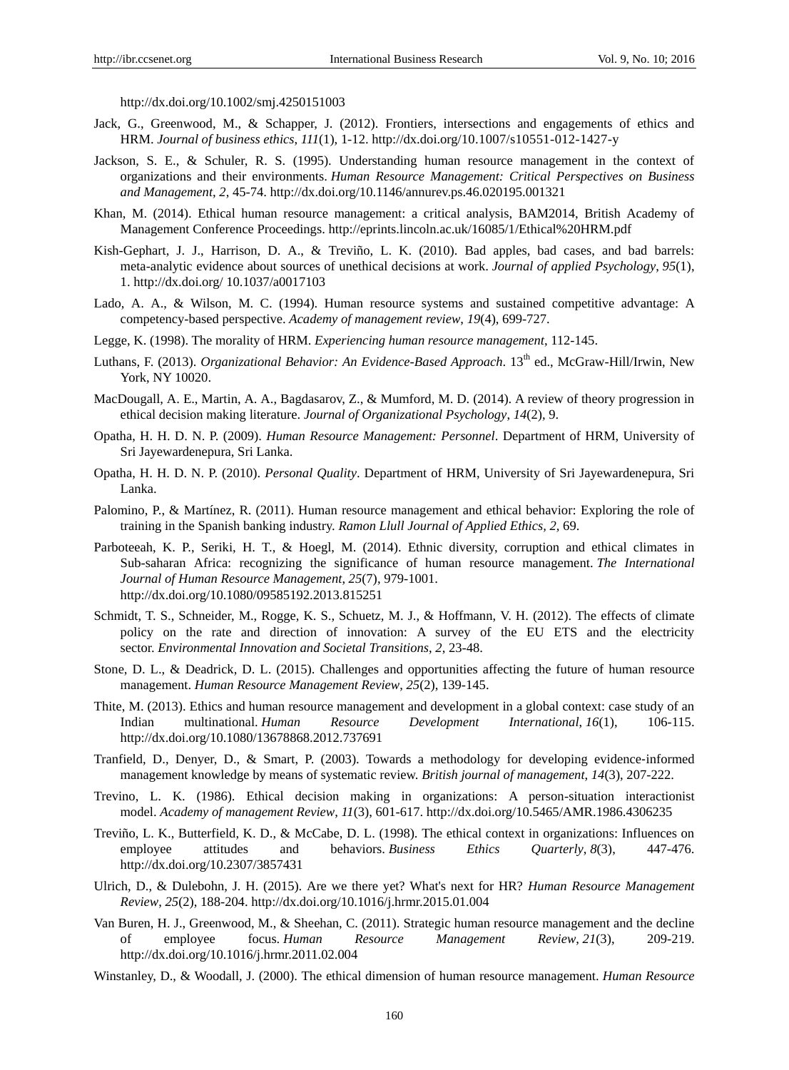http://dx.doi.org/10.1002/smj.4250151003

- Jack, G., Greenwood, M., & Schapper, J. (2012). Frontiers, intersections and engagements of ethics and HRM. *Journal of business ethics*, *111*(1), 1-12. http://dx.doi.org/10.1007/s10551-012-1427-y
- Jackson, S. E., & Schuler, R. S. (1995). Understanding human resource management in the context of organizations and their environments. *Human Resource Management: Critical Perspectives on Business and Management*, *2*, 45-74.<http://dx.doi.org/10.1146/annurev.ps.46.020195.001321>
- Khan, M. (2014). Ethical human resource management: a critical analysis, BAM2014, British Academy of Management Conference Proceedings.<http://eprints.lincoln.ac.uk/16085/1/Ethical%20HRM.pdf>
- Kish-Gephart, J. J., Harrison, D. A., & Treviño, L. K. (2010). Bad apples, bad cases, and bad barrels: meta-analytic evidence about sources of unethical decisions at work. *Journal of applied Psychology*, *95*(1), 1. http://dx.doi.org/ 10.1037/a0017103
- Lado, A. A., & Wilson, M. C. (1994). Human resource systems and sustained competitive advantage: A competency-based perspective. *Academy of management review*, *19*(4), 699-727.
- Legge, K. (1998). The morality of HRM. *Experiencing human resource management*, 112-145.
- Luthans, F. (2013). *Organizational Behavior: An Evidence-Based Approach*. 13<sup>th</sup> ed., McGraw-Hill/Irwin, New York, NY 10020.
- MacDougall, A. E., Martin, A. A., Bagdasarov, Z., & Mumford, M. D. (2014). A review of theory progression in ethical decision making literature. *Journal of Organizational Psychology*, *14*(2), 9.
- Opatha, H. H. D. N. P. (2009). *Human Resource Management: Personnel*. Department of HRM, University of Sri Jayewardenepura, Sri Lanka.
- Opatha, H. H. D. N. P. (2010). *Personal Quality*. Department of HRM, University of Sri Jayewardenepura, Sri Lanka.
- Palomino, P., & Mart fiez, R. (2011). Human resource management and ethical behavior: Exploring the role of training in the Spanish banking industry. *Ramon Llull Journal of Applied Ethics, 2,* 69.
- Parboteeah, K. P., Seriki, H. T., & Hoegl, M. (2014). Ethnic diversity, corruption and ethical climates in Sub-saharan Africa: recognizing the significance of human resource management. *The International Journal of Human Resource Management*, *25*(7), 979-1001. http://dx.doi.org/10.1080/09585192.2013.815251
- Schmidt, T. S., Schneider, M., Rogge, K. S., Schuetz, M. J., & Hoffmann, V. H. (2012). The effects of climate policy on the rate and direction of innovation: A survey of the EU ETS and the electricity sector. *Environmental Innovation and Societal Transitions*, *2*, 23-48.
- Stone, D. L., & Deadrick, D. L. (2015). Challenges and opportunities affecting the future of human resource management. *Human Resource Management Review*, *25*(2), 139-145.
- Thite, M. (2013). Ethics and human resource management and development in a global context: case study of an Indian multinational. *Human Resource Development International*, *16*(1), 106-115. http://dx.doi.org/10.1080/13678868.2012.737691
- Tranfield, D., Denyer, D., & Smart, P. (2003). Towards a methodology for developing evidence‐informed management knowledge by means of systematic review. *British journal of management*, *14*(3), 207-222.
- Trevino, L. K. (1986). Ethical decision making in organizations: A person-situation interactionist model. *Academy of management Review*, *11*(3), 601-617. http://dx.doi.org/10.5465/AMR.1986.4306235
- Treviño, L. K., Butterfield, K. D., & McCabe, D. L. (1998). The ethical context in organizations: Influences on employee attitudes and behaviors. *Business Ethics Quarterly*, *8*(3), 447-476. <http://dx.doi.org/10.2307/3857431>
- Ulrich, D., & Dulebohn, J. H. (2015). Are we there yet? What's next for HR? *Human Resource Management Review*, *25*(2), 188-204.<http://dx.doi.org/10.1016/j.hrmr.2015.01.004>
- Van Buren, H. J., Greenwood, M., & Sheehan, C. (2011). Strategic human resource management and the decline of employee focus. *Human Resource Management Review*, *21*(3), 209-219. <http://dx.doi.org/10.1016/j.hrmr.2011.02.004>
- Winstanley, D., & Woodall, J. (2000). The ethical dimension of human resource management. *Human Resource*